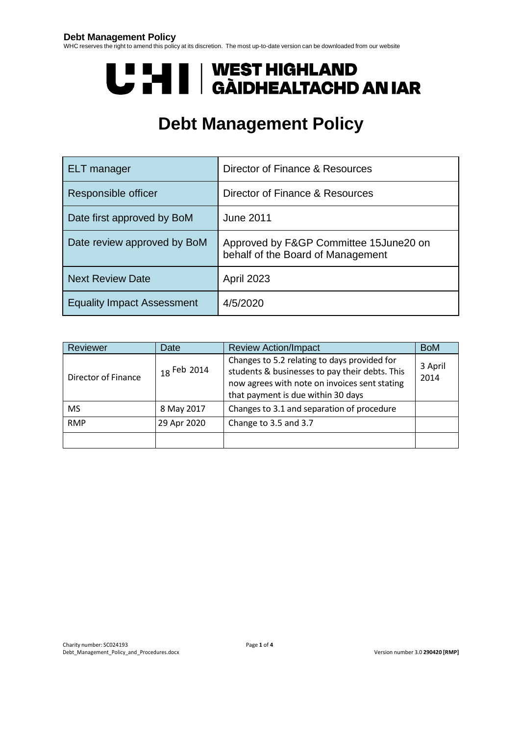#### **Debt Management Policy**

WHC reserves the right to amend this policy at its discretion. The most up-to-date version can be downloaded from our website

# **U PANTI | WEST HIGHLAND<br>U PANTI | GÀIDHEALTACHD AN IAR**

# **Debt Management Policy**

| <b>ELT</b> manager                | Director of Finance & Resources                                               |
|-----------------------------------|-------------------------------------------------------------------------------|
| Responsible officer               | Director of Finance & Resources                                               |
| Date first approved by BoM        | <b>June 2011</b>                                                              |
| Date review approved by BoM       | Approved by F&GP Committee 15 June 20 on<br>behalf of the Board of Management |
| <b>Next Review Date</b>           | <b>April 2023</b>                                                             |
| <b>Equality Impact Assessment</b> | 4/5/2020                                                                      |

| Reviewer                   | Date          | <b>Review Action/Impact</b>                                                                                                                                                           | <b>BoM</b>      |
|----------------------------|---------------|---------------------------------------------------------------------------------------------------------------------------------------------------------------------------------------|-----------------|
| <b>Director of Finance</b> | $18$ Feb 2014 | Changes to 5.2 relating to days provided for<br>students & businesses to pay their debts. This<br>now agrees with note on invoices sent stating<br>that payment is due within 30 days | 3 April<br>2014 |
| <b>MS</b>                  | 8 May 2017    | Changes to 3.1 and separation of procedure                                                                                                                                            |                 |
| <b>RMP</b>                 | 29 Apr 2020   | Change to 3.5 and 3.7                                                                                                                                                                 |                 |
|                            |               |                                                                                                                                                                                       |                 |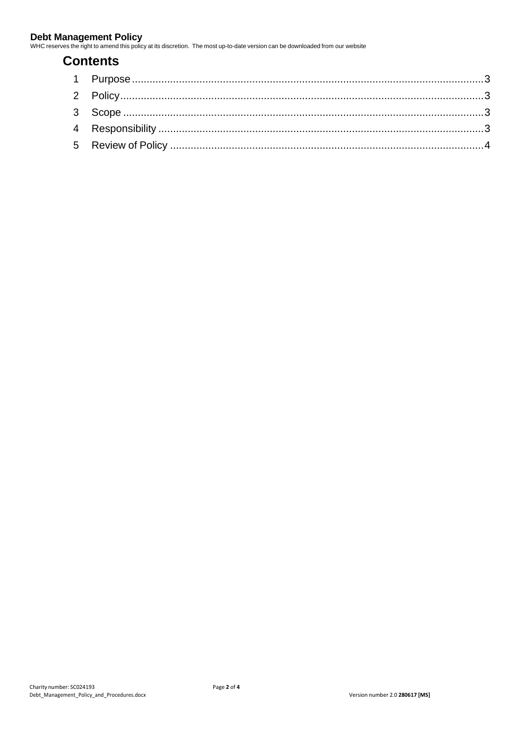WHC reserves the right to amend this policy at its discretion. The most up-to-date version can be downloaded from our website

# **Contents**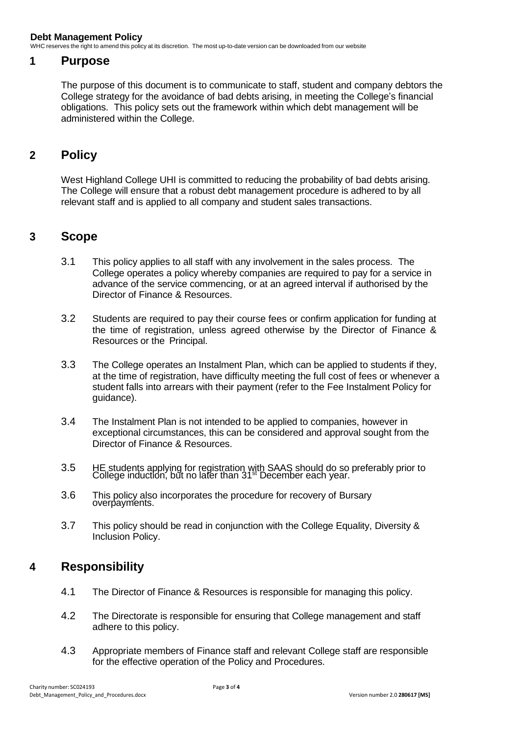WHC reserves the right to amend this policy at its discretion. The most up-to-date version can be downloaded from our website

#### <span id="page-2-0"></span>**1 Purpose**

The purpose of this document is to communicate to staff, student and company debtors the College strategy for the avoidance of bad debts arising, in meeting the College's financial obligations. This policy sets out the framework within which debt management will be administered within the College.

### <span id="page-2-1"></span>**2 Policy**

West Highland College UHI is committed to reducing the probability of bad debts arising. The College will ensure that a robust debt management procedure is adhered to by all relevant staff and is applied to all company and student sales transactions.

#### <span id="page-2-2"></span>**3 Scope**

- 3.1 This policy applies to all staff with any involvement in the sales process. The College operates a policy whereby companies are required to pay for a service in advance of the service commencing, or at an agreed interval if authorised by the Director of Finance & Resources.
- 3.2 Students are required to pay their course fees or confirm application for funding at the time of registration, unless agreed otherwise by the Director of Finance & Resources or the Principal.
- 3.3 The College operates an Instalment Plan, which can be applied to students if they, at the time of registration, have difficulty meeting the full cost of fees or whenever a student falls into arrears with their payment (refer to the Fee Instalment Policy for quidance).
- 3.4 The Instalment Plan is not intended to be applied to companies, however in exceptional circumstances, this can be considered and approval sought from the Director of Finance & Resources.
- 3.5 HE students applying for registration with SAAS should do so preferably prior to College induction, but no later than 31st December each year.
- 3.6 This policy also incorporates the procedure for recovery of Bursary overpayments.
- 3.7 This policy should be read in conjunction with the College Equality, Diversity & Inclusion Policy.

#### <span id="page-2-3"></span>**4 Responsibility**

- 4.1 The Director of Finance & Resources is responsible for managing this policy.
- 4.2 The Directorate is responsible for ensuring that College management and staff adhere to this policy.
- 4.3 Appropriate members of Finance staff and relevant College staff are responsible for the effective operation of the Policy and Procedures.